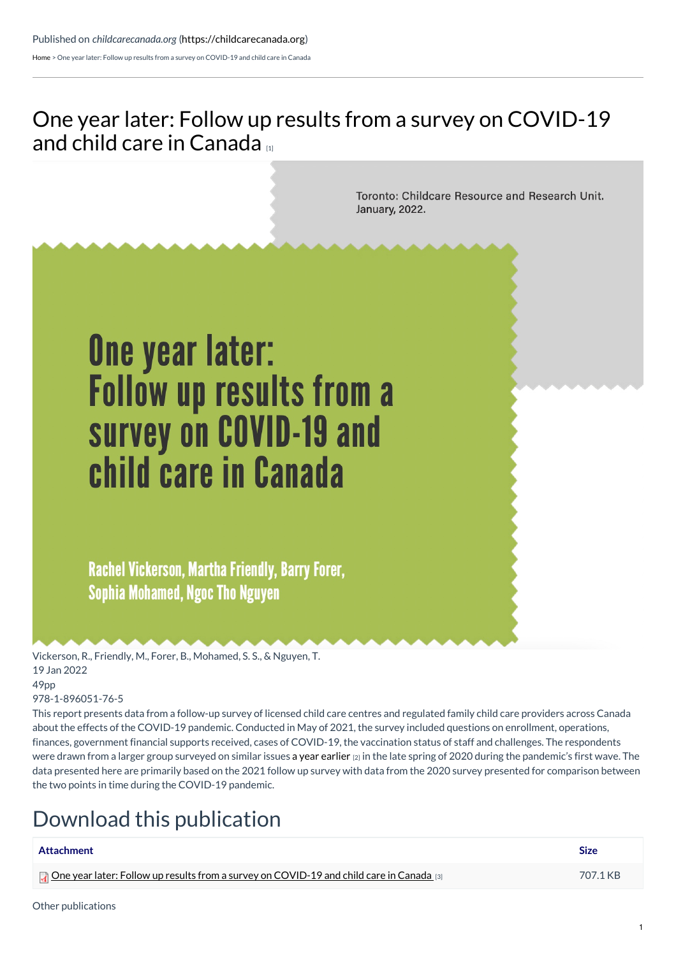[Home](https://childcarecanada.org/) > One year later: Follow up results from a survey on COVID-19 and child care in Canada

## One year later: Follow up results from a survey on [COVID-19](https://childcarecanada.org/publications/other-publications/22/01/one-year-later-follow-results-survey-covid-19-and-child-care) and child care in Canada

Toronto: Childcare Resource and Research Unit. January, 2022.

# **One year later:** Follow up results from a survey on COVID-19 and child care in Canada

Rachel Vickerson, Martha Friendly, Barry Forer, **Sophia Mohamed, Ngoc Tho Nguyen** 

Vickerson, R., Friendly, M., Forer, B., Mohamed, S. S., & Nguyen, T. 19 Jan 2022 49pp

### 978-1-896051-76-5

This report presents data from a follow-up survey of licensed child care centres and regulated family child care providers across Canada about the effects of the COVID-19 pandemic. Conducted in May of 2021, the survey included questions on enrollment, operations, finances, government financial supports received, cases of COVID-19, the vaccination status of staff and challenges. The respondents were drawn from a larger group surveyed on similar issues a year [earlier](https://childcarecanada.org/publications/other-publications/20/07/canadian-child-care-preliminary-results-national-survey-during) [2] in the late spring of 2020 during the pandemic's first wave. The data presented here are primarily based on the 2021 follow up survey with data from the 2020 survey presented for comparison between the two points in time during the COVID-19 pandemic.

## Download this publication

| Attachment                                                                                                       | <b>Size</b> |
|------------------------------------------------------------------------------------------------------------------|-------------|
| <b>The Dividend Paraget School of the School School School School School School</b> and child care in Canada [3] | 707.1 KB    |